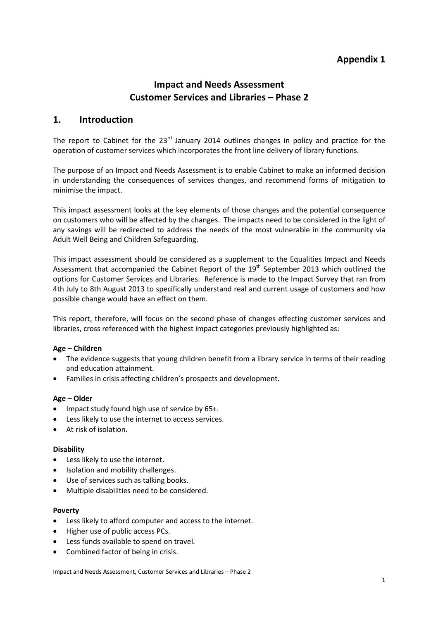# **Appendix 1**

# **Impact and Needs Assessment Customer Services and Libraries – Phase 2**

# **1. Introduction**

The report to Cabinet for the  $23<sup>rd</sup>$  January 2014 outlines changes in policy and practice for the operation of customer services which incorporates the front line delivery of library functions.

The purpose of an Impact and Needs Assessment is to enable Cabinet to make an informed decision in understanding the consequences of services changes, and recommend forms of mitigation to minimise the impact.

This impact assessment looks at the key elements of those changes and the potential consequence on customers who will be affected by the changes. The impacts need to be considered in the light of any savings will be redirected to address the needs of the most vulnerable in the community via Adult Well Being and Children Safeguarding.

This impact assessment should be considered as a supplement to the Equalities Impact and Needs Assessment that accompanied the Cabinet Report of the  $19<sup>th</sup>$  September 2013 which outlined the options for Customer Services and Libraries. Reference is made to the Impact Survey that ran from 4th July to 8th August 2013 to specifically understand real and current usage of customers and how possible change would have an effect on them.

This report, therefore, will focus on the second phase of changes effecting customer services and libraries, cross referenced with the highest impact categories previously highlighted as:

#### **Age – Children**

- The evidence suggests that young children benefit from a library service in terms of their reading and education attainment.
- Families in crisis affecting children's prospects and development.

#### **Age – Older**

- Impact study found high use of service by 65+.
- Less likely to use the internet to access services.
- At risk of isolation.

#### **Disability**

- Less likely to use the internet.
- Isolation and mobility challenges.
- Use of services such as talking books.
- Multiple disabilities need to be considered.

#### **Poverty**

- Less likely to afford computer and access to the internet.
- Higher use of public access PCs.
- Less funds available to spend on travel.
- Combined factor of being in crisis.

Impact and Needs Assessment, Customer Services and Libraries – Phase 2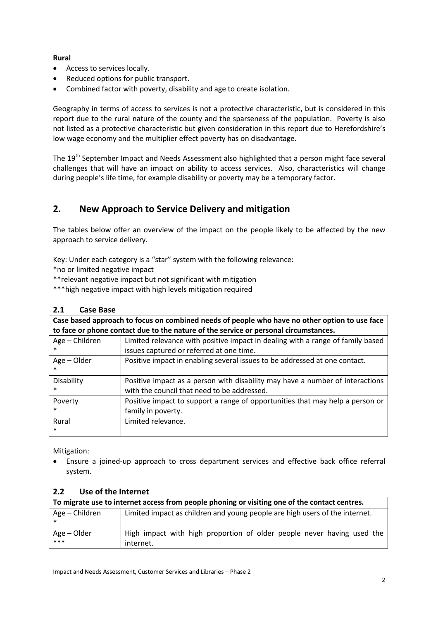## **Rural**

- Access to services locally.
- Reduced options for public transport.
- Combined factor with poverty, disability and age to create isolation.

Geography in terms of access to services is not a protective characteristic, but is considered in this report due to the rural nature of the county and the sparseness of the population. Poverty is also not listed as a protective characteristic but given consideration in this report due to Herefordshire's low wage economy and the multiplier effect poverty has on disadvantage.

The 19<sup>th</sup> September Impact and Needs Assessment also highlighted that a person might face several challenges that will have an impact on ability to access services. Also, characteristics will change during people's life time, for example disability or poverty may be a temporary factor.

# **2. New Approach to Service Delivery and mitigation**

The tables below offer an overview of the impact on the people likely to be affected by the new approach to service delivery.

Key: Under each category is a "star" system with the following relevance:

\*no or limited negative impact

\*\*relevant negative impact but not significant with mitigation

\*\*\*high negative impact with high levels mitigation required

## **2.1 Case Base**

| Case based approach to focus on combined needs of people who have no other option to use face<br>to face or phone contact due to the nature of the service or personal circumstances. |                                                                                                                              |  |  |  |
|---------------------------------------------------------------------------------------------------------------------------------------------------------------------------------------|------------------------------------------------------------------------------------------------------------------------------|--|--|--|
| Age - Children                                                                                                                                                                        | Limited relevance with positive impact in dealing with a range of family based<br>issues captured or referred at one time.   |  |  |  |
| Age - Older<br>*                                                                                                                                                                      | Positive impact in enabling several issues to be addressed at one contact.                                                   |  |  |  |
| Disability<br>$\ast$                                                                                                                                                                  | Positive impact as a person with disability may have a number of interactions<br>with the council that need to be addressed. |  |  |  |
| Poverty<br>$\ast$                                                                                                                                                                     | Positive impact to support a range of opportunities that may help a person or<br>family in poverty.                          |  |  |  |
| Rural<br>$\ast$                                                                                                                                                                       | Limited relevance.                                                                                                           |  |  |  |

Mitigation:

• Ensure a joined-up approach to cross department services and effective back office referral system.

## **2.2 Use of the Internet**

| To migrate use to internet access from people phoning or visiting one of the contact centres. |                                                                                     |  |  |  |  |
|-----------------------------------------------------------------------------------------------|-------------------------------------------------------------------------------------|--|--|--|--|
| Age – Children                                                                                | Limited impact as children and young people are high users of the internet.         |  |  |  |  |
| Age – Older<br>***                                                                            | High impact with high proportion of older people never having used the<br>internet. |  |  |  |  |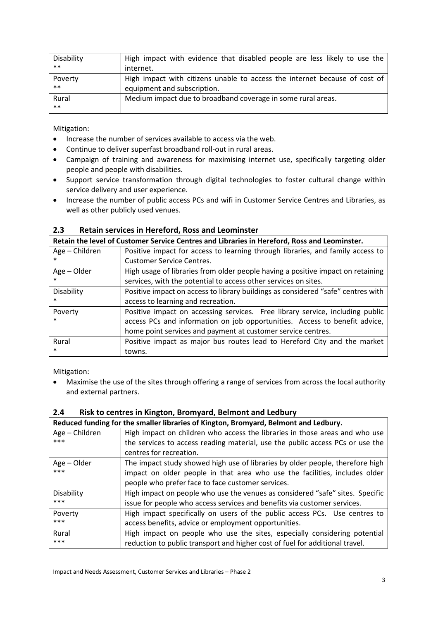| Disability | High impact with evidence that disabled people are less likely to use the  |
|------------|----------------------------------------------------------------------------|
| $***$      | internet.                                                                  |
| Poverty    | High impact with citizens unable to access the internet because of cost of |
| $***$      | equipment and subscription.                                                |
| Rural      | Medium impact due to broadband coverage in some rural areas.               |
| $***$      |                                                                            |

Mitigation:

- Increase the number of services available to access via the web.
- Continue to deliver superfast broadband roll-out in rural areas.
- Campaign of training and awareness for maximising internet use, specifically targeting older people and people with disabilities.
- Support service transformation through digital technologies to foster cultural change within service delivery and user experience.
- Increase the number of public access PCs and wifi in Customer Service Centres and Libraries, as well as other publicly used venues.

## **2.3 Retain services in Hereford, Ross and Leominster**

|                | Retain the level of Customer Service Centres and Libraries in Hereford, Ross and Leominster. |  |  |  |  |  |
|----------------|----------------------------------------------------------------------------------------------|--|--|--|--|--|
| Age - Children | Positive impact for access to learning through libraries, and family access to               |  |  |  |  |  |
| $\ast$         | <b>Customer Service Centres.</b>                                                             |  |  |  |  |  |
| Age - Older    | High usage of libraries from older people having a positive impact on retaining              |  |  |  |  |  |
| $\ast$         | services, with the potential to access other services on sites.                              |  |  |  |  |  |
| Disability     | Positive impact on access to library buildings as considered "safe" centres with             |  |  |  |  |  |
| $\ast$         | access to learning and recreation.                                                           |  |  |  |  |  |
| Poverty        | Positive impact on accessing services. Free library service, including public                |  |  |  |  |  |
| $\ast$         | access PCs and information on job opportunities. Access to benefit advice,                   |  |  |  |  |  |
|                | home point services and payment at customer service centres.                                 |  |  |  |  |  |
| Rural          | Positive impact as major bus routes lead to Hereford City and the market                     |  |  |  |  |  |
| $\ast$         | towns.                                                                                       |  |  |  |  |  |

Mitigation:

• Maximise the use of the sites through offering a range of services from across the local authority and external partners.

#### **2.4 Risk to centres in Kington, Bromyard, Belmont and Ledbury**

|                | Reduced funding for the smaller libraries of Kington, Bromyard, Belmont and Ledbury. |  |  |  |  |
|----------------|--------------------------------------------------------------------------------------|--|--|--|--|
| Age - Children | High impact on children who access the libraries in those areas and who use          |  |  |  |  |
| ***            | the services to access reading material, use the public access PCs or use the        |  |  |  |  |
|                | centres for recreation.                                                              |  |  |  |  |
| Age - Older    | The impact study showed high use of libraries by older people, therefore high        |  |  |  |  |
| ***            | impact on older people in that area who use the facilities, includes older           |  |  |  |  |
|                | people who prefer face to face customer services.                                    |  |  |  |  |
| Disability     | High impact on people who use the venues as considered "safe" sites. Specific        |  |  |  |  |
| ***            | issue for people who access services and benefits via customer services.             |  |  |  |  |
| Poverty        | High impact specifically on users of the public access PCs. Use centres to           |  |  |  |  |
| ***            | access benefits, advice or employment opportunities.                                 |  |  |  |  |
| Rural          | High impact on people who use the sites, especially considering potential            |  |  |  |  |
| ***            | reduction to public transport and higher cost of fuel for additional travel.         |  |  |  |  |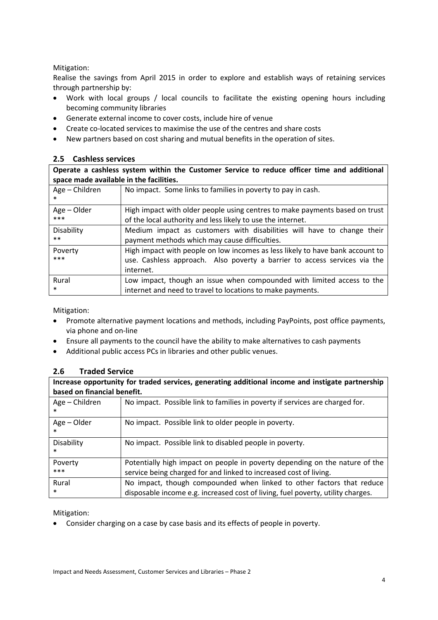## Mitigation:

Realise the savings from April 2015 in order to explore and establish ways of retaining services through partnership by:

- Work with local groups / local councils to facilitate the existing opening hours including becoming community libraries
- Generate external income to cover costs, include hire of venue
- Create co-located services to maximise the use of the centres and share costs
- New partners based on cost sharing and mutual benefits in the operation of sites.

## **2.5 Cashless services**

**Operate a cashless system within the Customer Service to reduce officer time and additional space made available in the facilities.** 

| Age - Children | No impact. Some links to families in poverty to pay in cash.                  |  |  |  |
|----------------|-------------------------------------------------------------------------------|--|--|--|
| Age - Older    | High impact with older people using centres to make payments based on trust   |  |  |  |
| ***            | of the local authority and less likely to use the internet.                   |  |  |  |
| Disability     | Medium impact as customers with disabilities will have to change their        |  |  |  |
| $***$          | payment methods which may cause difficulties.                                 |  |  |  |
| Poverty        | High impact with people on low incomes as less likely to have bank account to |  |  |  |
| ***            | use. Cashless approach. Also poverty a barrier to access services via the     |  |  |  |
|                | internet.                                                                     |  |  |  |
| Rural          | Low impact, though an issue when compounded with limited access to the        |  |  |  |
| $\ast$         | internet and need to travel to locations to make payments.                    |  |  |  |

Mitigation:

- Promote alternative payment locations and methods, including PayPoints, post office payments, via phone and on-line
- Ensure all payments to the council have the ability to make alternatives to cash payments
- Additional public access PCs in libraries and other public venues.

## **2.6 Traded Service**

| Increase opportunity for traded services, generating additional income and instigate partnership<br>based on financial benefit. |                                                                                                                                                          |  |  |  |  |
|---------------------------------------------------------------------------------------------------------------------------------|----------------------------------------------------------------------------------------------------------------------------------------------------------|--|--|--|--|
| Age - Children<br>$\ast$                                                                                                        | No impact. Possible link to families in poverty if services are charged for.                                                                             |  |  |  |  |
| Age – Older<br>$\ast$                                                                                                           | No impact. Possible link to older people in poverty.                                                                                                     |  |  |  |  |
| Disability<br>$\ast$                                                                                                            | No impact. Possible link to disabled people in poverty.                                                                                                  |  |  |  |  |
| Poverty<br>$***$                                                                                                                | Potentially high impact on people in poverty depending on the nature of the<br>service being charged for and linked to increased cost of living.         |  |  |  |  |
| Rural<br>$\ast$                                                                                                                 | No impact, though compounded when linked to other factors that reduce<br>disposable income e.g. increased cost of living, fuel poverty, utility charges. |  |  |  |  |

Mitigation:

• Consider charging on a case by case basis and its effects of people in poverty.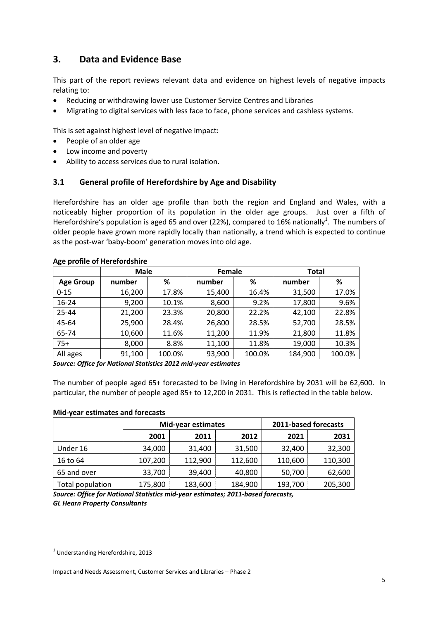# **3. Data and Evidence Base**

This part of the report reviews relevant data and evidence on highest levels of negative impacts relating to:

- Reducing or withdrawing lower use Customer Service Centres and Libraries
- Migrating to digital services with less face to face, phone services and cashless systems.

This is set against highest level of negative impact:

- People of an older age
- Low income and poverty
- Ability to access services due to rural isolation.

## **3.1 General profile of Herefordshire by Age and Disability**

Herefordshire has an older age profile than both the region and England and Wales, with a noticeably higher proportion of its population in the older age groups. Just over a fifth of Herefordshire's population is aged 65 and over (22%), compared to 16% nationally<sup>1</sup>. The numbers of older people have grown more rapidly locally than nationally, a trend which is expected to continue as the post-war 'baby-boom' generation moves into old age.

|                  | <b>Male</b> |        | Female |        | <b>Total</b> |        |
|------------------|-------------|--------|--------|--------|--------------|--------|
| <b>Age Group</b> | number      | %      | number | %      | number       | %      |
| $0 - 15$         | 16,200      | 17.8%  | 15,400 | 16.4%  | 31,500       | 17.0%  |
| $16 - 24$        | 9,200       | 10.1%  | 8,600  | 9.2%   | 17,800       | 9.6%   |
| $25 - 44$        | 21,200      | 23.3%  | 20,800 | 22.2%  | 42,100       | 22.8%  |
| 45-64            | 25,900      | 28.4%  | 26,800 | 28.5%  | 52,700       | 28.5%  |
| 65-74            | 10,600      | 11.6%  | 11,200 | 11.9%  | 21,800       | 11.8%  |
| $75+$            | 8,000       | 8.8%   | 11,100 | 11.8%  | 19,000       | 10.3%  |
| All ages         | 91,100      | 100.0% | 93,900 | 100.0% | 184,900      | 100.0% |

#### **Age profile of Herefordshire**

*Source: Office for National Statistics 2012 mid-year estimates* 

The number of people aged 65+ forecasted to be living in Herefordshire by 2031 will be 62,600. In particular, the number of people aged 85+ to 12,200 in 2031. This is reflected in the table below.

#### **Mid-year estimates and forecasts**

|                  |         | <b>Mid-year estimates</b> | 2011-based forecasts |         |         |
|------------------|---------|---------------------------|----------------------|---------|---------|
|                  | 2001    | 2011                      | 2012                 | 2021    | 2031    |
| Under 16         | 34,000  | 31,400                    | 31,500               | 32,400  | 32,300  |
| 16 to 64         | 107,200 | 112,900                   | 112,600              | 110,600 | 110,300 |
| 65 and over      | 33,700  | 39,400                    | 40,800               | 50,700  | 62,600  |
| Total population | 175,800 | 183,600                   | 184,900              | 193,700 | 205,300 |

*Source: Office for National Statistics mid-year estimates; 2011-based forecasts, GL Hearn Property Consultants* 

 $\overline{a}$ 

 $<sup>1</sup>$  Understanding Herefordshire, 2013</sup>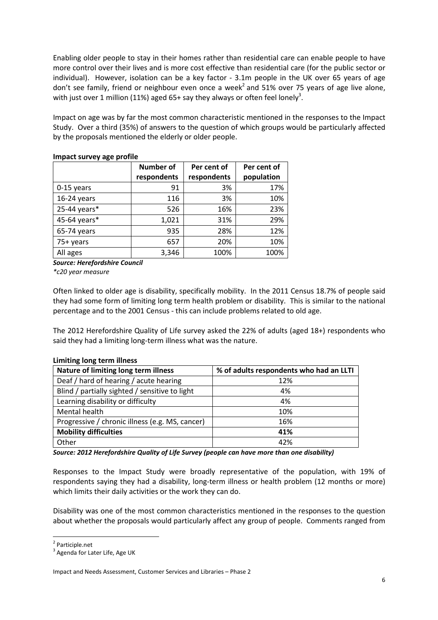Enabling older people to stay in their homes rather than residential care can enable people to have more control over their lives and is more cost effective than residential care (for the public sector or individual). However, isolation can be a key factor - 3.1m people in the UK over 65 years of age don't see family, friend or neighbour even once a week<sup>2</sup> and 51% over 75 years of age live alone, with just over 1 million (11%) aged 65+ say they always or often feel lonely<sup>3</sup>.

Impact on age was by far the most common characteristic mentioned in the responses to the Impact Study. Over a third (35%) of answers to the question of which groups would be particularly affected by the proposals mentioned the elderly or older people.

|               | Number of<br>Per cent of<br>respondents<br>respondents |      | Per cent of<br>population |
|---------------|--------------------------------------------------------|------|---------------------------|
| 0-15 years    | 91                                                     | 3%   | 17%                       |
| $16-24$ years | 116                                                    | 3%   | 10%                       |
| 25-44 years*  | 526                                                    | 16%  | 23%                       |
| 45-64 years*  | 1,021                                                  | 31%  | 29%                       |
| 65-74 years   | 935                                                    | 28%  | 12%                       |
| 75+ years     | 657                                                    | 20%  | 10%                       |
| All ages      | 3,346                                                  | 100% | 100%                      |

#### **Impact survey age profile**

*Source: Herefordshire Council* 

*\*c20 year measure* 

Often linked to older age is disability, specifically mobility. In the 2011 Census 18.7% of people said they had some form of limiting long term health problem or disability. This is similar to the national percentage and to the 2001 Census - this can include problems related to old age.

The 2012 Herefordshire Quality of Life survey asked the 22% of adults (aged 18+) respondents who said they had a limiting long-term illness what was the nature.

| LITTING JUNE LETTH INTESS                       |                                         |  |  |
|-------------------------------------------------|-----------------------------------------|--|--|
| Nature of limiting long term illness            | % of adults respondents who had an LLTI |  |  |
| Deaf / hard of hearing / acute hearing          | 12%                                     |  |  |
| Blind / partially sighted / sensitive to light  | 4%                                      |  |  |
| Learning disability or difficulty               | 4%                                      |  |  |
| Mental health                                   | 10%                                     |  |  |
| Progressive / chronic illness (e.g. MS, cancer) | 16%                                     |  |  |
| <b>Mobility difficulties</b>                    | 41%                                     |  |  |
| Other                                           | 42%                                     |  |  |

## **Limiting long term illness**

*Source: 2012 Herefordshire Quality of Life Survey (people can have more than one disability)* 

Responses to the Impact Study were broadly representative of the population, with 19% of respondents saying they had a disability, long-term illness or health problem (12 months or more) which limits their daily activities or the work they can do.

Disability was one of the most common characteristics mentioned in the responses to the question about whether the proposals would particularly affect any group of people. Comments ranged from

 $\overline{a}$ 

<sup>&</sup>lt;sup>2</sup> Participle.net

<sup>&</sup>lt;sup>3</sup> Agenda for Later Life, Age UK

Impact and Needs Assessment, Customer Services and Libraries – Phase 2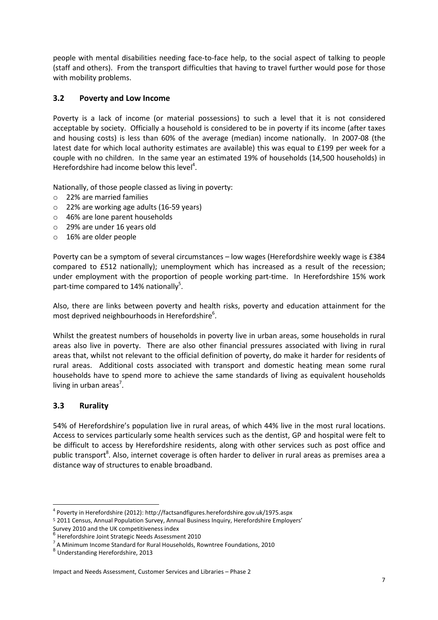people with mental disabilities needing face-to-face help, to the social aspect of talking to people (staff and others). From the transport difficulties that having to travel further would pose for those with mobility problems.

## **3.2 Poverty and Low Income**

Poverty is a lack of income (or material possessions) to such a level that it is not considered acceptable by society. Officially a household is considered to be in poverty if its income (after taxes and housing costs) is less than 60% of the average (median) income nationally. In 2007-08 (the latest date for which local authority estimates are available) this was equal to £199 per week for a couple with no children. In the same year an estimated 19% of households (14,500 households) in Herefordshire had income below this level<sup>4</sup>.

Nationally, of those people classed as living in poverty:

- o 22% are married families
- o 22% are working age adults (16-59 years)
- o 46% are lone parent households
- o 29% are under 16 years old
- o 16% are older people

Poverty can be a symptom of several circumstances – low wages (Herefordshire weekly wage is £384 compared to £512 nationally); unemployment which has increased as a result of the recession; under employment with the proportion of people working part-time. In Herefordshire 15% work part-time compared to 14% nationally<sup>5</sup>.

Also, there are links between poverty and health risks, poverty and education attainment for the most deprived neighbourhoods in Herefordshire<sup>6</sup>.

Whilst the greatest numbers of households in poverty live in urban areas, some households in rural areas also live in poverty. There are also other financial pressures associated with living in rural areas that, whilst not relevant to the official definition of poverty, do make it harder for residents of rural areas. Additional costs associated with transport and domestic heating mean some rural households have to spend more to achieve the same standards of living as equivalent households living in urban areas<sup>7</sup>.

## **3.3 Rurality**

 $\overline{a}$ 

54% of Herefordshire's population live in rural areas, of which 44% live in the most rural locations. Access to services particularly some health services such as the dentist, GP and hospital were felt to be difficult to access by Herefordshire residents, along with other services such as post office and public transport<sup>8</sup>. Also, internet coverage is often harder to deliver in rural areas as premises area a distance way of structures to enable broadband.

Survey 2010 and the UK competitiveness index<br><sup>6</sup> Userfardshire Joint Stratorie Needs Assessme

<sup>&</sup>lt;sup>4</sup> Poverty in Herefordshire (2012): http://factsandfigures.herefordshire.gov.uk/1975.aspx

<sup>5</sup> 2011 Census, Annual Population Survey, Annual Business Inquiry, Herefordshire Employers'

Herefordshire Joint Strategic Needs Assessment 2010

<sup>&</sup>lt;sup>7</sup> A Minimum Income Standard for Rural Households, Rowntree Foundations, 2010

<sup>&</sup>lt;sup>8</sup> Understanding Herefordshire, 2013

Impact and Needs Assessment, Customer Services and Libraries – Phase 2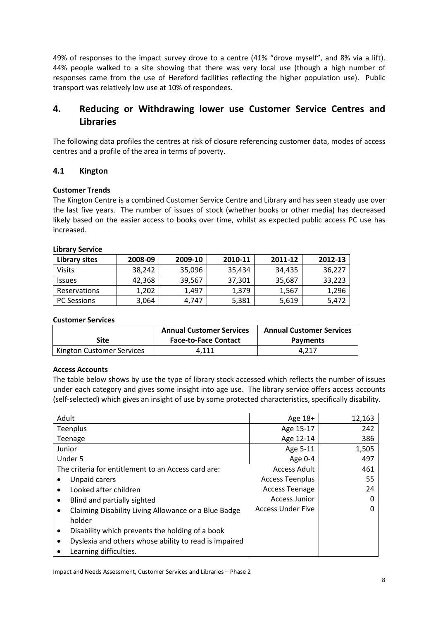49% of responses to the impact survey drove to a centre (41% "drove myself", and 8% via a lift). 44% people walked to a site showing that there was very local use (though a high number of responses came from the use of Hereford facilities reflecting the higher population use). Public transport was relatively low use at 10% of respondees.

# **4. Reducing or Withdrawing lower use Customer Service Centres and Libraries**

The following data profiles the centres at risk of closure referencing customer data, modes of access centres and a profile of the area in terms of poverty.

## **4.1 Kington**

#### **Customer Trends**

The Kington Centre is a combined Customer Service Centre and Library and has seen steady use over the last five years. The number of issues of stock (whether books or other media) has decreased likely based on the easier access to books over time, whilst as expected public access PC use has increased.

| <b>LINIGIY JEIVILE</b> |         |         |         |         |         |
|------------------------|---------|---------|---------|---------|---------|
| Library sites          | 2008-09 | 2009-10 | 2010-11 | 2011-12 | 2012-13 |
| <b>Visits</b>          | 38,242  | 35,096  | 35,434  | 34,435  | 36,227  |
| <b>Issues</b>          | 42,368  | 39,567  | 37,301  | 35,687  | 33,223  |
| <b>Reservations</b>    | 1,202   | 1,497   | 1.379   | 1,567   | 1,296   |
| <b>PC Sessions</b>     | 3,064   | 4.747   | 5,381   | 5,619   | 5,472   |

# **Library Service**

#### **Customer Services**

| <b>Site</b>               | <b>Annual Customer Services</b><br><b>Face-to-Face Contact</b> | <b>Annual Customer Services</b><br><b>Payments</b> |
|---------------------------|----------------------------------------------------------------|----------------------------------------------------|
| Kington Customer Services | 4.111                                                          | 4.217                                              |

#### **Access Accounts**

The table below shows by use the type of library stock accessed which reflects the number of issues under each category and gives some insight into age use. The library service offers access accounts (self-selected) which gives an insight of use by some protected characteristics, specifically disability.

| Adult                                                 | Age $18+$                | 12,163 |
|-------------------------------------------------------|--------------------------|--------|
| Teenplus                                              | Age 15-17                | 242    |
| Teenage                                               | Age 12-14                | 386    |
| Junior                                                | Age 5-11                 | 1,505  |
| Under 5                                               | Age $0-4$                | 497    |
| The criteria for entitlement to an Access card are:   | Access Adult             | 461    |
| Unpaid carers                                         | <b>Access Teenplus</b>   | 55     |
| Looked after children                                 | <b>Access Teenage</b>    | 24     |
| Blind and partially sighted<br>٠                      | Access Junior            | 0      |
| Claiming Disability Living Allowance or a Blue Badge  | <b>Access Under Five</b> | 0      |
| holder                                                |                          |        |
| Disability which prevents the holding of a book<br>٠  |                          |        |
| Dyslexia and others whose ability to read is impaired |                          |        |
| Learning difficulties.                                |                          |        |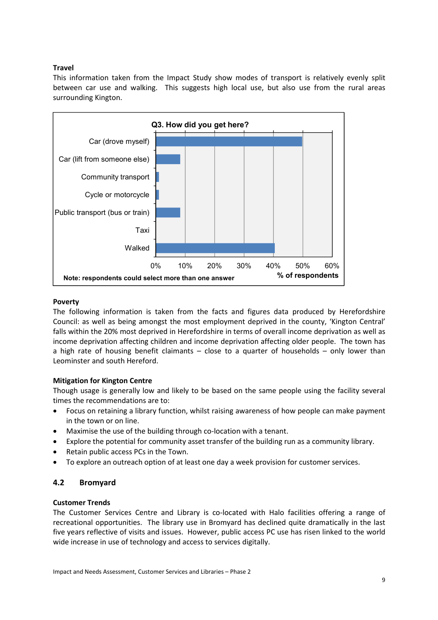## **Travel**

This information taken from the Impact Study show modes of transport is relatively evenly split between car use and walking. This suggests high local use, but also use from the rural areas surrounding Kington.



#### **Poverty**

The following information is taken from the facts and figures data produced by Herefordshire Council: as well as being amongst the most employment deprived in the county, 'Kington Central' falls within the 20% most deprived in Herefordshire in terms of overall income deprivation as well as income deprivation affecting children and income deprivation affecting older people. The town has a high rate of housing benefit claimants – close to a quarter of households – only lower than Leominster and south Hereford.

## **Mitigation for Kington Centre**

Though usage is generally low and likely to be based on the same people using the facility several times the recommendations are to:

- Focus on retaining a library function, whilst raising awareness of how people can make payment in the town or on line.
- Maximise the use of the building through co-location with a tenant.
- Explore the potential for community asset transfer of the building run as a community library.
- Retain public access PCs in the Town.
- To explore an outreach option of at least one day a week provision for customer services.

## **4.2 Bromyard**

#### **Customer Trends**

The Customer Services Centre and Library is co-located with Halo facilities offering a range of recreational opportunities. The library use in Bromyard has declined quite dramatically in the last five years reflective of visits and issues. However, public access PC use has risen linked to the world wide increase in use of technology and access to services digitally.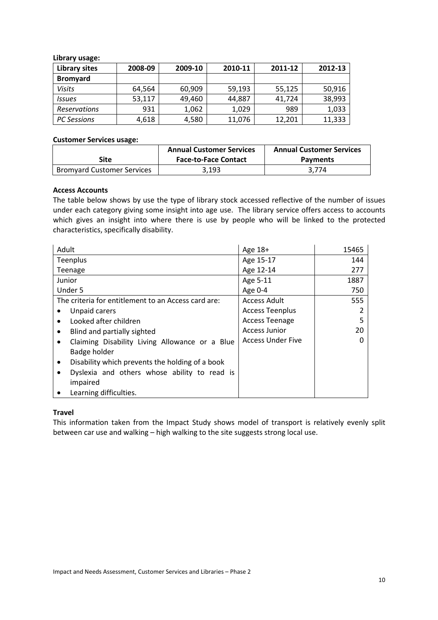| <b>Library sites</b> | 2008-09 | 2009-10 | 2010-11 | 2011-12 | 2012-13 |
|----------------------|---------|---------|---------|---------|---------|
| <b>Bromyard</b>      |         |         |         |         |         |
| Visits               | 64,564  | 60,909  | 59,193  | 55,125  | 50,916  |
| <b>Issues</b>        | 53,117  | 49,460  | 44,887  | 41.724  | 38,993  |
| <b>Reservations</b>  | 931     | 1,062   | 1,029   | 989     | 1,033   |
| <b>PC Sessions</b>   | 4,618   | 4,580   | 11,076  | 12,201  | 11,333  |

**Library usage:** 

#### **Customer Services usage:**

|                                   | <b>Annual Customer Services</b> | <b>Annual Customer Services</b> |
|-----------------------------------|---------------------------------|---------------------------------|
| Site                              | <b>Face-to-Face Contact</b>     | <b>Payments</b>                 |
| <b>Bromyard Customer Services</b> | 3.193                           | 3.774                           |

#### **Access Accounts**

The table below shows by use the type of library stock accessed reflective of the number of issues under each category giving some insight into age use. The library service offers access to accounts which gives an insight into where there is use by people who will be linked to the protected characteristics, specifically disability.

| Adult                                                        | Age 18+                  | 15465    |
|--------------------------------------------------------------|--------------------------|----------|
| <b>Teenplus</b>                                              | Age 15-17                | 144      |
| Teenage                                                      | Age 12-14                | 277      |
| Junior                                                       | Age 5-11                 | 1887     |
| Under 5                                                      | Age 0-4                  | 750      |
| The criteria for entitlement to an Access card are:          | <b>Access Adult</b>      | 555      |
| Unpaid carers                                                | <b>Access Teenplus</b>   |          |
| Looked after children<br>$\bullet$                           | <b>Access Teenage</b>    | 5        |
| Blind and partially sighted<br>$\bullet$                     | Access Junior            | 20       |
| Claiming Disability Living Allowance or a Blue<br>$\bullet$  | <b>Access Under Five</b> | $\Omega$ |
| Badge holder                                                 |                          |          |
| Disability which prevents the holding of a book<br>$\bullet$ |                          |          |
| Dyslexia and others whose ability to read is                 |                          |          |
| impaired                                                     |                          |          |
| Learning difficulties.                                       |                          |          |

#### **Travel**

This information taken from the Impact Study shows model of transport is relatively evenly split between car use and walking – high walking to the site suggests strong local use.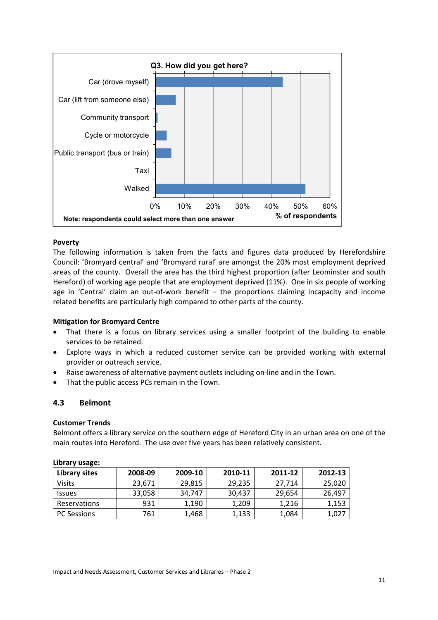

#### **Poverty**

The following information is taken from the facts and figures data produced by Herefordshire Council: 'Bromyard central' and 'Bromyard rural' are amongst the 20% most employment deprived areas of the county. Overall the area has the third highest proportion (after Leominster and south Hereford) of working age people that are employment deprived (11%). One in six people of working age in 'Central' claim an out-of-work benefit – the proportions claiming incapacity and income related benefits are particularly high compared to other parts of the county.

#### **Mitigation for Bromyard Centre**

- That there is a focus on library services using a smaller footprint of the building to enable services to be retained.
- Explore ways in which a reduced customer service can be provided working with external provider or outreach service.
- Raise awareness of alternative payment outlets including on-line and in the Town.
- That the public access PCs remain in the Town.

#### **4.3 Belmont**

#### **Customer Trends**

Belmont offers a library service on the southern edge of Hereford City in an urban area on one of the main routes into Hereford. The use over five years has been relatively consistent.

| $-0.700$ . The second $-0.700$ |         |         |         |         |         |
|--------------------------------|---------|---------|---------|---------|---------|
| Library sites                  | 2008-09 | 2009-10 | 2010-11 | 2011-12 | 2012-13 |
| <b>Visits</b>                  | 23.671  | 29,815  | 29,235  | 27.714  | 25,020  |
| <b>Issues</b>                  | 33,058  | 34.747  | 30.437  | 29.654  | 26,497  |
| <b>Reservations</b>            | 931     | 1,190   | 1.209   | 1,216   | 1,153   |
| <b>PC Sessions</b>             | 761     | 1,468   | 1,133   | 1,084   | 1,027   |

#### **Library usage:**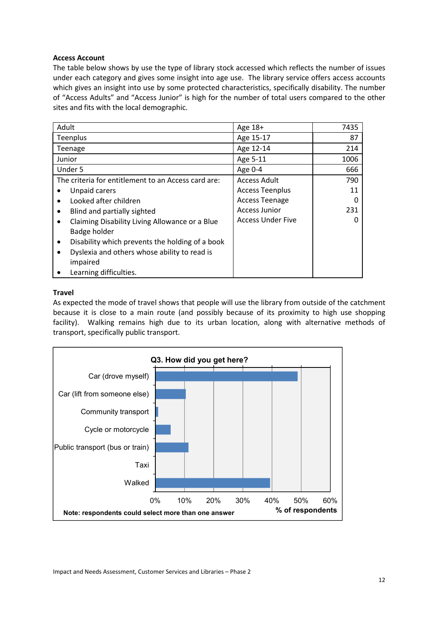#### **Access Account**

The table below shows by use the type of library stock accessed which reflects the number of issues under each category and gives some insight into age use. The library service offers access accounts which gives an insight into use by some protected characteristics, specifically disability. The number of "Access Adults" and "Access Junior" is high for the number of total users compared to the other sites and fits with the local demographic.

| Adult     |                                                     | Age 18+                  | 7435 |
|-----------|-----------------------------------------------------|--------------------------|------|
|           | Teenplus                                            | Age 15-17                | 87   |
|           | Teenage                                             | Age 12-14                | 214  |
|           | Junior                                              | Age 5-11                 | 1006 |
|           | Under 5                                             | Age 0-4                  | 666  |
|           | The criteria for entitlement to an Access card are: | <b>Access Adult</b>      | 790  |
|           | Unpaid carers                                       | <b>Access Teenplus</b>   | 11   |
| $\bullet$ | Looked after children                               | <b>Access Teenage</b>    |      |
| $\bullet$ | Blind and partially sighted                         | <b>Access Junior</b>     | 231  |
| $\bullet$ | Claiming Disability Living Allowance or a Blue      | <b>Access Under Five</b> |      |
|           | Badge holder                                        |                          |      |
| $\bullet$ | Disability which prevents the holding of a book     |                          |      |
|           | Dyslexia and others whose ability to read is        |                          |      |
|           | impaired                                            |                          |      |
|           | Learning difficulties.                              |                          |      |

## **Travel**

As expected the mode of travel shows that people will use the library from outside of the catchment because it is close to a main route (and possibly because of its proximity to high use shopping facility). Walking remains high due to its urban location, along with alternative methods of transport, specifically public transport.

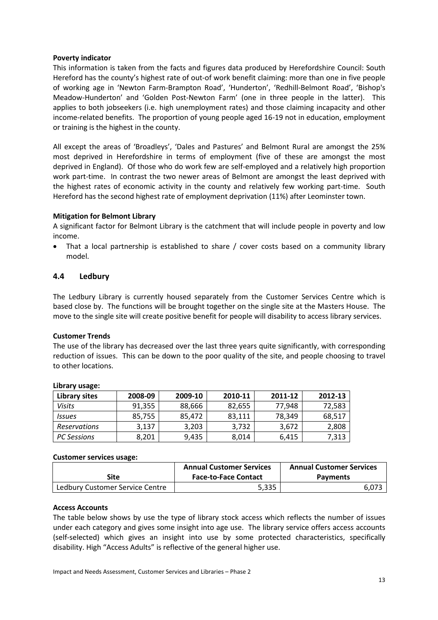#### **Poverty indicator**

This information is taken from the facts and figures data produced by Herefordshire Council: South Hereford has the county's highest rate of out-of work benefit claiming: more than one in five people of working age in 'Newton Farm-Brampton Road', 'Hunderton', 'Redhill-Belmont Road', 'Bishop's Meadow-Hunderton' and 'Golden Post-Newton Farm' (one in three people in the latter). This applies to both jobseekers (i.e. high unemployment rates) and those claiming incapacity and other income-related benefits. The proportion of young people aged 16-19 not in education, employment or training is the highest in the county.

All except the areas of 'Broadleys', 'Dales and Pastures' and Belmont Rural are amongst the 25% most deprived in Herefordshire in terms of employment (five of these are amongst the most deprived in England). Of those who do work few are self-employed and a relatively high proportion work part-time. In contrast the two newer areas of Belmont are amongst the least deprived with the highest rates of economic activity in the county and relatively few working part-time. South Hereford has the second highest rate of employment deprivation (11%) after Leominster town.

#### **Mitigation for Belmont Library**

A significant factor for Belmont Library is the catchment that will include people in poverty and low income.

That a local partnership is established to share / cover costs based on a community library model.

#### **4.4 Ledbury**

The Ledbury Library is currently housed separately from the Customer Services Centre which is based close by. The functions will be brought together on the single site at the Masters House. The move to the single site will create positive benefit for people will disability to access library services.

#### **Customer Trends**

The use of the library has decreased over the last three years quite significantly, with corresponding reduction of issues. This can be down to the poor quality of the site, and people choosing to travel to other locations.

| <b>SININITY MONACI</b>      |         |         |         |         |         |
|-----------------------------|---------|---------|---------|---------|---------|
| Library sites               | 2008-09 | 2009-10 | 2010-11 | 2011-12 | 2012-13 |
| Visits                      | 91,355  | 88,666  | 82,655  | 77,948  | 72,583  |
| <i><u><b>Issues</b></u></i> | 85,755  | 85.472  | 83,111  | 78.349  | 68,517  |
| <b>Reservations</b>         | 3,137   | 3,203   | 3,732   | 3,672   | 2,808   |
| <b>PC Sessions</b>          | 8,201   | 9,435   | 8,014   | 6,415   | 7,313   |

#### **Library usage:**

#### **Customer services usage:**

|                                 | <b>Annual Customer Services</b><br><b>Annual Customer Services</b> |                 |
|---------------------------------|--------------------------------------------------------------------|-----------------|
| Site                            | <b>Face-to-Face Contact</b>                                        | <b>Payments</b> |
| Ledbury Customer Service Centre | 5.335                                                              | 6.073           |

#### **Access Accounts**

The table below shows by use the type of library stock access which reflects the number of issues under each category and gives some insight into age use. The library service offers access accounts (self-selected) which gives an insight into use by some protected characteristics, specifically disability. High "Access Adults" is reflective of the general higher use.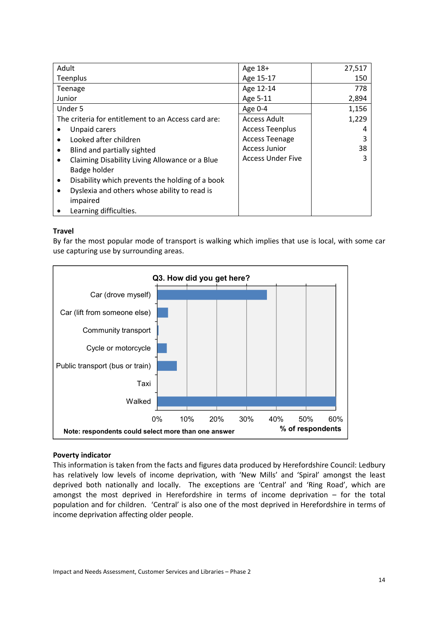| Adult                                                        | Age $18+$                | 27,517 |
|--------------------------------------------------------------|--------------------------|--------|
| Teenplus                                                     | Age 15-17                | 150    |
| Teenage                                                      | Age 12-14                | 778    |
| Junior                                                       | Age 5-11                 | 2,894  |
| Under 5                                                      | Age 0-4                  | 1,156  |
| The criteria for entitlement to an Access card are:          | <b>Access Adult</b>      | 1,229  |
| Unpaid carers                                                | <b>Access Teenplus</b>   | 4      |
| Looked after children<br>$\bullet$                           | <b>Access Teenage</b>    | 3      |
| Blind and partially sighted<br>$\bullet$                     | <b>Access Junior</b>     | 38     |
| Claiming Disability Living Allowance or a Blue<br>٠          | <b>Access Under Five</b> | 3      |
| Badge holder                                                 |                          |        |
| Disability which prevents the holding of a book<br>$\bullet$ |                          |        |
| Dyslexia and others whose ability to read is<br>٠            |                          |        |
| impaired                                                     |                          |        |
| Learning difficulties.                                       |                          |        |

## **Travel**

By far the most popular mode of transport is walking which implies that use is local, with some car use capturing use by surrounding areas.



#### **Poverty indicator**

This information is taken from the facts and figures data produced by Herefordshire Council: Ledbury has relatively low levels of income deprivation, with 'New Mills' and 'Spiral' amongst the least deprived both nationally and locally. The exceptions are 'Central' and 'Ring Road', which are amongst the most deprived in Herefordshire in terms of income deprivation – for the total population and for children. 'Central' is also one of the most deprived in Herefordshire in terms of income deprivation affecting older people.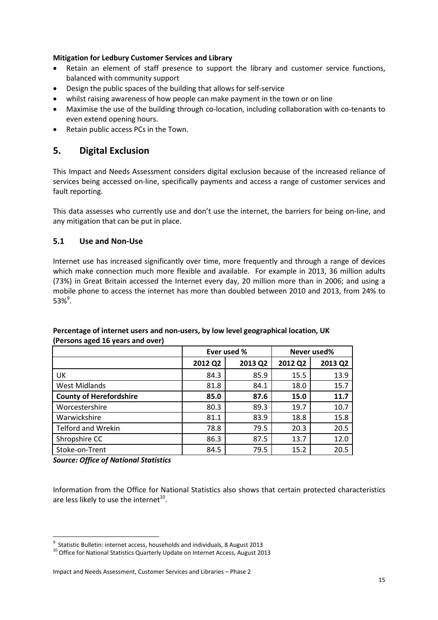## **Mitigation for Ledbury Customer Services and Library**

- Retain an element of staff presence to support the library and customer service functions, balanced with community support
- Design the public spaces of the building that allows for self-service
- whilst raising awareness of how people can make payment in the town or on line
- Maximise the use of the building through co-location, including collaboration with co-tenants to even extend opening hours.
- Retain public access PCs in the Town.

# **5. Digital Exclusion**

This Impact and Needs Assessment considers digital exclusion because of the increased reliance of services being accessed on-line, specifically payments and access a range of customer services and fault reporting.

This data assesses who currently use and don't use the internet, the barriers for being on-line, and any mitigation that can be put in place.

## **5.1 Use and Non-Use**

Internet use has increased significantly over time, more frequently and through a range of devices which make connection much more flexible and available. For example in 2013, 36 million adults (73%) in Great Britain accessed the Internet every day, 20 million more than in 2006; and using a mobile phone to access the internet has more than doubled between 2010 and 2013, from 24% to  $53\%^{9}$ .

|                                | Ever used % |         | Never used% |         |
|--------------------------------|-------------|---------|-------------|---------|
|                                | 2012 Q2     | 2013 Q2 | 2012 Q2     | 2013 Q2 |
| UK                             | 84.3        | 85.9    | 15.5        | 13.9    |
| West Midlands                  | 81.8        | 84.1    | 18.0        | 15.7    |
| <b>County of Herefordshire</b> | 85.0        | 87.6    | 15.0        | 11.7    |
| Worcestershire                 | 80.3        | 89.3    | 19.7        | 10.7    |
| Warwickshire                   | 81.1        | 83.9    | 18.8        | 15.8    |
| <b>Telford and Wrekin</b>      | 78.8        | 79.5    | 20.3        | 20.5    |
| Shropshire CC                  | 86.3        | 87.5    | 13.7        | 12.0    |
| Stoke-on-Trent                 | 84.5        | 79.5    | 15.2        | 20.5    |

## **Percentage of internet users and non-users, by low level geographical location, UK (Persons aged 16 years and over)**

*Source: Office of National Statistics* 

 $\overline{a}$ 

Information from the Office for National Statistics also shows that certain protected characteristics are less likely to use the internet<sup>10</sup>.

 $9$  Statistic Bulletin: internet access, households and individuals, 8 August 2013

<sup>&</sup>lt;sup>10</sup> Office for National Statistics Quarterly Update on Internet Access, August 2013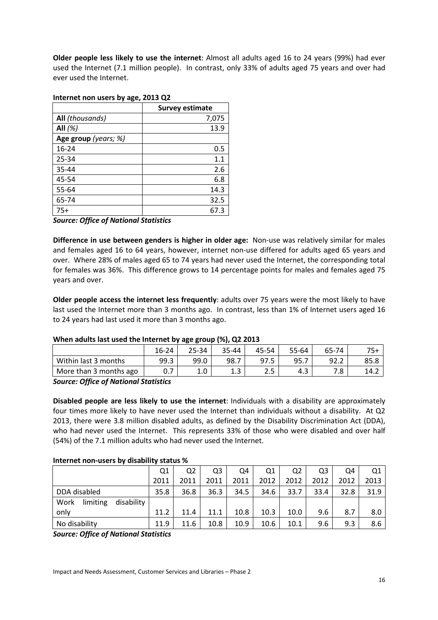**Older people less likely to use the internet**: Almost all adults aged 16 to 24 years (99%) had ever used the Internet (7.1 million people). In contrast, only 33% of adults aged 75 years and over had ever used the Internet.

|                      | <b>Survey estimate</b> |
|----------------------|------------------------|
| All (thousands)      | 7,075                  |
| All $(\%)$           | 13.9                   |
| Age group (years; %) |                        |
| $16 - 24$            | 0.5                    |
| 25-34                | 1.1                    |
| 35-44                | 2.6                    |
| 45-54                | 6.8                    |
| 55-64                | 14.3                   |
| 65-74                | 32.5                   |
| $75+$                | 67.3                   |

#### **Internet non users by age, 2013 Q2**

*Source: Office of National Statistics* 

**Difference in use between genders is higher in older age:** Non-use was relatively similar for males and females aged 16 to 64 years, however, internet non-use differed for adults aged 65 years and over. Where 28% of males aged 65 to 74 years had never used the Internet, the corresponding total for females was 36%. This difference grows to 14 percentage points for males and females aged 75 years and over.

**Older people access the internet less frequently**: adults over 75 years were the most likely to have last used the Internet more than 3 months ago. In contrast, less than 1% of Internet users aged 16 to 24 years had last used it more than 3 months ago.

#### **When adults last used the Internet by age group (%), Q2 2013**

|                        |       | .<br>--    |       |       |       |       |       |
|------------------------|-------|------------|-------|-------|-------|-------|-------|
|                        | 16-24 | 25-34      | 35-44 | 45-54 | 55-64 | 65-74 | $75+$ |
| Within last 3 months   | 99.3  | 99.0       | 98.7  | 97.5  | 95.7  | 92.2  | 85.8  |
| More than 3 months ago | 0.7   | 1 በ<br>T.N | ᅩ.    | ر .   | 4.3   | 7.8   | 14.2  |
| $  -$<br>.             |       |            |       |       |       |       |       |

*Source: Office of National Statistics* 

**Disabled people are less likely to use the internet**: Individuals with a disability are approximately four times more likely to have never used the Internet than individuals without a disability. At Q2 2013, there were 3.8 million disabled adults, as defined by the Disability Discrimination Act (DDA), who had never used the Internet. This represents 33% of those who were disabled and over half (54%) of the 7.1 million adults who had never used the Internet.

#### **Internet non-users by disability status %**

|                                | Q1   | Q <sub>2</sub> | Q3   | Q4   | Q1   | Q2   | Q3   | Q4   | Q1   |
|--------------------------------|------|----------------|------|------|------|------|------|------|------|
|                                | 2011 | 2011           | 2011 | 2011 | 2012 | 2012 | 2012 | 2012 | 2013 |
| DDA disabled                   | 35.8 | 36.8           | 36.3 | 34.5 | 34.6 | 33.7 | 33.4 | 32.8 | 31.9 |
| disability<br>limiting<br>Work |      |                |      |      |      |      |      |      |      |
| only                           | 11.2 | 11.4           | 11.1 | 10.8 | 10.3 | 10.0 | 9.6  | 8.7  | 8.0  |
| No disability                  | 11.9 | 11.6           | 10.8 | 10.9 | 10.6 | 10.1 | 9.6  | 9.3  | 8.6  |

*Source: Office of National Statistics*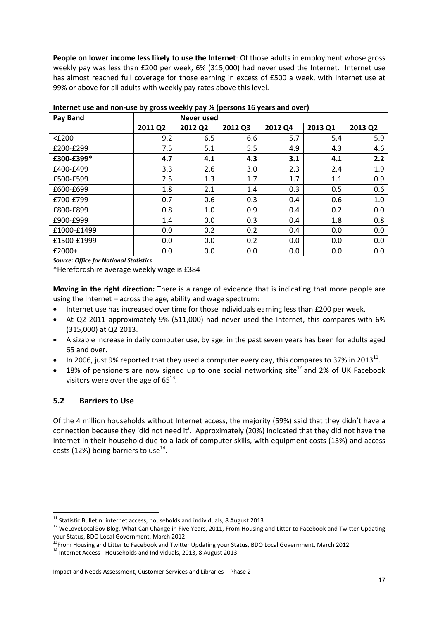**People on lower income less likely to use the Internet**: Of those adults in employment whose gross weekly pay was less than £200 per week, 6% (315,000) had never used the Internet. Internet use has almost reached full coverage for those earning in excess of £500 a week, with Internet use at 99% or above for all adults with weekly pay rates above this level.

| <b>Pay Band</b> |         | Never used |         |         |         |         |
|-----------------|---------|------------|---------|---------|---------|---------|
|                 | 2011 Q2 | 2012 Q2    | 2012 Q3 | 2012 Q4 | 2013 Q1 | 2013 Q2 |
| $<$ £200        | 9.2     | 6.5        | 6.6     | 5.7     | 5.4     | 5.9     |
| £200-£299       | 7.5     | 5.1        | 5.5     | 4.9     | 4.3     | 4.6     |
| £300-£399*      | 4.7     | 4.1        | 4.3     | 3.1     | 4.1     | 2.2     |
| £400-£499       | 3.3     | 2.6        | 3.0     | 2.3     | 2.4     | 1.9     |
| £500-£599       | 2.5     | 1.3        | 1.7     | 1.7     | 1.1     | 0.9     |
| £600-£699       | 1.8     | 2.1        | 1.4     | 0.3     | 0.5     | 0.6     |
| £700-£799       | 0.7     | 0.6        | 0.3     | 0.4     | 0.6     | 1.0     |
| £800-£899       | 0.8     | 1.0        | 0.9     | 0.4     | 0.2     | 0.0     |
| £900-£999       | 1.4     | 0.0        | 0.3     | 0.4     | 1.8     | 0.8     |
| £1000-£1499     | 0.0     | 0.2        | 0.2     | 0.4     | 0.0     | 0.0     |
| £1500-£1999     | 0.0     | 0.0        | 0.2     | 0.0     | 0.0     | 0.0     |
| £2000+          | 0.0     | 0.0        | 0.0     | 0.0     | 0.0     | 0.0     |

**Internet use and non-use by gross weekly pay % (persons 16 years and over)** 

*Source: Office for National Statistics* 

\*Herefordshire average weekly wage is £384

**Moving in the right direction:** There is a range of evidence that is indicating that more people are using the Internet – across the age, ability and wage spectrum:

- Internet use has increased over time for those individuals earning less than £200 per week.
- At Q2 2011 approximately 9% (511,000) had never used the Internet, this compares with 6% (315,000) at Q2 2013.
- A sizable increase in daily computer use, by age, in the past seven years has been for adults aged 65 and over.
- In 2006, just 9% reported that they used a computer every day, this compares to 37% in 2013<sup>11</sup>.
- 18% of pensioners are now signed up to one social networking site<sup>12</sup> and 2% of UK Facebook visitors were over the age of  $65^{13}$ .

## **5.2 Barriers to Use**

 $\overline{a}$ 

Of the 4 million households without Internet access, the majority (59%) said that they didn't have a connection because they 'did not need it'. Approximately (20%) indicated that they did not have the Internet in their household due to a lack of computer skills, with equipment costs (13%) and access costs (12%) being barriers to use<sup>14</sup>.

 $^{11}$  Statistic Bulletin: internet access, households and individuals, 8 August 2013

<sup>&</sup>lt;sup>12</sup> WeLoveLocalGov Blog, What Can Change in Five Years, 2011, From Housing and Litter to Facebook and Twitter Updating your Status, BDO Local Government, March 2012

<sup>&</sup>lt;sup>13</sup>From Housing and Litter to Facebook and Twitter Updating your Status, BDO Local Government, March 2012

<sup>14</sup> Internet Access - Households and Individuals, 2013, 8 August 2013

Impact and Needs Assessment, Customer Services and Libraries – Phase 2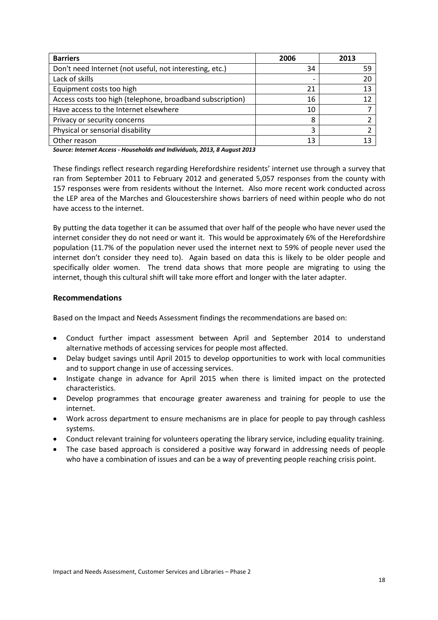| <b>Barriers</b>                                           | 2006                     | 2013 |
|-----------------------------------------------------------|--------------------------|------|
| Don't need Internet (not useful, not interesting, etc.)   | 34                       | 59   |
| Lack of skills                                            | $\overline{\phantom{0}}$ | 20   |
| Equipment costs too high                                  | 21                       | 13   |
| Access costs too high (telephone, broadband subscription) | 16                       | 12   |
| Have access to the Internet elsewhere                     | 10                       |      |
| Privacy or security concerns                              | 8                        |      |
| Physical or sensorial disability                          | 3                        |      |
| Other reason                                              | 13                       |      |

*Source: Internet Access - Households and Individuals, 2013, 8 August 2013* 

These findings reflect research regarding Herefordshire residents' internet use through a survey that ran from September 2011 to February 2012 and generated 5,057 responses from the county with 157 responses were from residents without the Internet. Also more recent work conducted across the LEP area of the Marches and Gloucestershire shows barriers of need within people who do not have access to the internet.

By putting the data together it can be assumed that over half of the people who have never used the internet consider they do not need or want it. This would be approximately 6% of the Herefordshire population (11.7% of the population never used the internet next to 59% of people never used the internet don't consider they need to). Again based on data this is likely to be older people and specifically older women. The trend data shows that more people are migrating to using the internet, though this cultural shift will take more effort and longer with the later adapter.

## **Recommendations**

Based on the Impact and Needs Assessment findings the recommendations are based on:

- Conduct further impact assessment between April and September 2014 to understand alternative methods of accessing services for people most affected.
- Delay budget savings until April 2015 to develop opportunities to work with local communities and to support change in use of accessing services.
- Instigate change in advance for April 2015 when there is limited impact on the protected characteristics.
- Develop programmes that encourage greater awareness and training for people to use the internet.
- Work across department to ensure mechanisms are in place for people to pay through cashless systems.
- Conduct relevant training for volunteers operating the library service, including equality training.
- The case based approach is considered a positive way forward in addressing needs of people who have a combination of issues and can be a way of preventing people reaching crisis point.